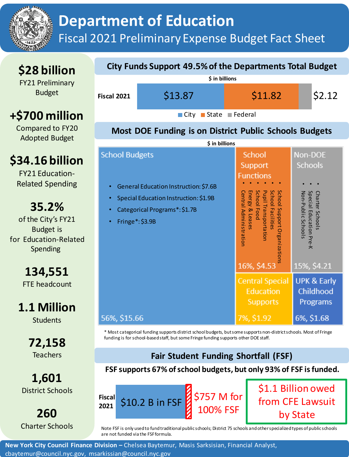

# **Department of Education** Fiscal 2021 Preliminary Expense Budget Fact Sheet

### **\$28 billion**

FY21 Preliminary Budget

### **+\$700 million**

Compared to FY20 Adopted Budget

## **\$34.16 billion**

FY21 Education-Related Spending

### **35.2%**

of the City's FY21 Budget is for Education-Related Spending

**134,551**

FTE headcount

# **1.1 Million**

**Students** 

**72,158 Teachers** 

**1,601** District Schools

**260** Charter Schools

#### **City Funds Support 49.5% of the Departments Total Budget Fiscal 2021** ■ City ■ State ■ Federal  $$13.87$   $$11.82$   $$2.12$ **\$ in billions**

#### **Most DOE Funding is on District Public Schools Budgets**

| \$ in billions                                                                                                                                  |                                                                                                                                                                                               |                                                                                    |
|-------------------------------------------------------------------------------------------------------------------------------------------------|-----------------------------------------------------------------------------------------------------------------------------------------------------------------------------------------------|------------------------------------------------------------------------------------|
| <b>School Budgets</b>                                                                                                                           | <b>School</b><br>Support                                                                                                                                                                      | Non-DOE<br><b>Schools</b>                                                          |
| General Education Instruction: \$7.6B<br>$\bullet$<br>Special Education Instruction: \$1.9B<br>Categorical Programs*: \$1.7B<br>Fringe*: \$3.9B | <b>Functions</b><br>Pupil Transportation<br>School Facilities<br>School Support Organizations<br><b>Energy</b><br><b>School Food</b><br>Centra<br>I Administratior<br>& Leases<br>16%, \$4.53 | Special Education Pre-K<br>Non-Public Schools<br>Charter<br>Schools<br>15%, \$4.21 |
| 56%, \$15.66                                                                                                                                    | <b>Central Special</b><br><b>Education</b><br><b>Supports</b><br>7%, \$1.92                                                                                                                   | <b>UPK &amp; Early</b><br>Childhood<br><b>Programs</b><br>6%, \$1.68               |

\* Most categorical funding supports district school budgets, but some supports non-district schools. Most of Fringe funding is for school-based staff, but some Fringe funding supports other DOE staff.

#### **Fair Student Funding Shortfall (FSF)**

#### **FSF supports 67% of school budgets, but only 93% of FSF is funded.**



\$1.1 Billion owed from CFE Lawsuit by State

Note FSF is only used to fund traditional public schools; District 75 schools and other specialized types of public schools are not funded via the FSF formula.

**New York City Council Finance Division –** Chelsea Baytemur, Masis Sarksisian, Financial Analyst, cbaytemur@council.nyc.gov, msarkissian@council.nyc.gov